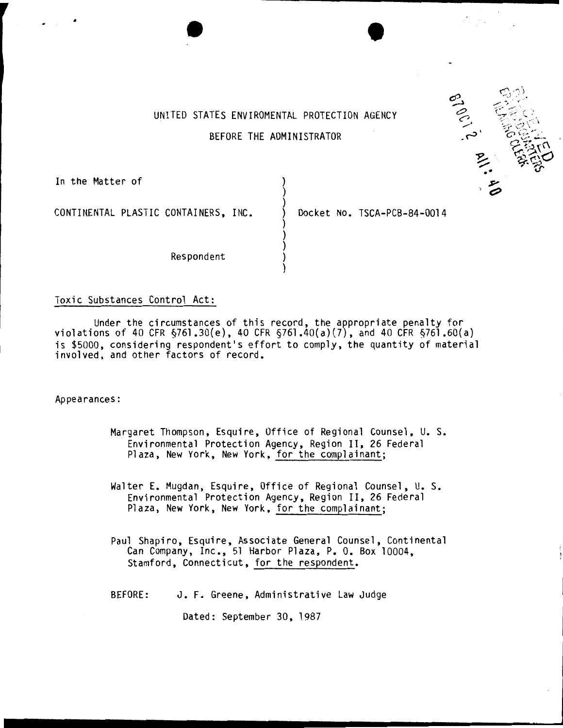

# UNITED STATES ENVIROMENTAL PROTECTION AGENCY BEFORE THE ADMINISTRATOR

) )

) ) )

)

 $\bullet$   $\bullet$   $\bullet$ 

In the Matter of

CONTINENTAL PLASTIC CONTAINERS, INC.  $\bigcirc$  Docket No. TSCA-PCB-84-0014

**Respondent** 

# Toxic Substances Control Act:

Under the circumstances of this record, the appropriate penalty for violations of 40 CFR §761 .30(e), 40 CFR §761.40(a)(7), and 40 CFR §761.60(a) is \$5000, considering respondent's effort to comply, the quantity of material involved, and other factors of record.

Appearances:

Margaret Thompson, Esquire, Office of Regional Counsel, U. s. Environmental Protection Agency, Region II, 26 Federal Plaza, New York, New York, for the complainant;

Walter E. Mugdan, Esquire, Office of Regional Counsel, U.S. Environmental Protection Agency, Region II, 26 Federal Plaza, New York, New York, for the complainant;

Paul Shapiro, Esquire, Associate General Counsel, Continental Can Company, Inc., 51 Harbor Plaza, P. 0. Box 10004, Stamford, Connecticut, for the respondent.

BEFORE: J. F. Greene, Administrative Law Judge

Dated: September 30, 1987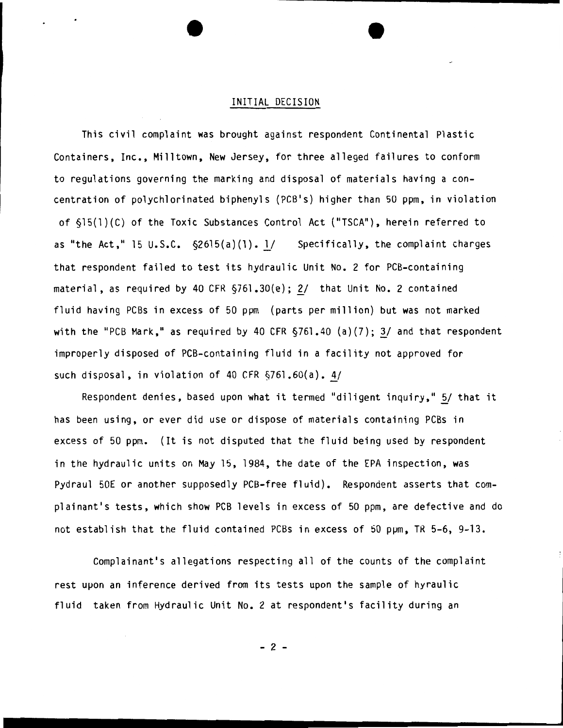## INITIAL DECISION

This civil complaint was brought against respondent Continental Plastic Containers, Inc., Milltown, New Jersey, for three alleged failures to conform to regulations governing the marking and disposal of materials having a concentration of polychlorinated biphenyls (PCB's) higher than 50 ppm, in violation of §15(l)(C) of the Toxic Substances Control Act ("TSCA"), herein referred to as "the Act," 15 U.S.C.  $\S2615(a)(1)$ . 1/ Specifically, the complaint charges that respondent failed to test its hydraulic Unit No. 2 for PCB-containing material, as required by 40 CFR  $\S$ 761.30(e); 2/ that Unit No. 2 contained fluid having PCBs in excess of 50 ppm (parts per million) but was not marked with the "PCB Mark," as required by 40 CFR  $\S$ 761.40 (a)(7); 3/ and that respondent improperly disposed of PCB-containing fluid in a facility not approved for such disposal, in violation of 40 CFR  $\S$ 761.60(a). 4/

Respondent denies, based upon what it termed "diligent inquiry," 5/ that it has been using, or ever did use or dispose of materials containing PCBs in excess of 50 ppm. (It is not disputed that the fluid being used by respondent in the hydraulic units on May 15, 1984, the date of the EPA inspection, was Pydraul 50E or another supposedly PCB-free fluid). Respondent asserts that complainant's tests, which show PCB levels in excess of 50 ppm, are defective and do not establish that the fluid contained PCBs in excess of 50 ppm, TR 5-6, 9-13.

Complainant's allegations respecting all of the counts of the complaint rest upon an inference derived from its tests upon the sample of hyraulic fluid taken from Hydraulic Unit No.2 at respondent's facility during an

- 2 -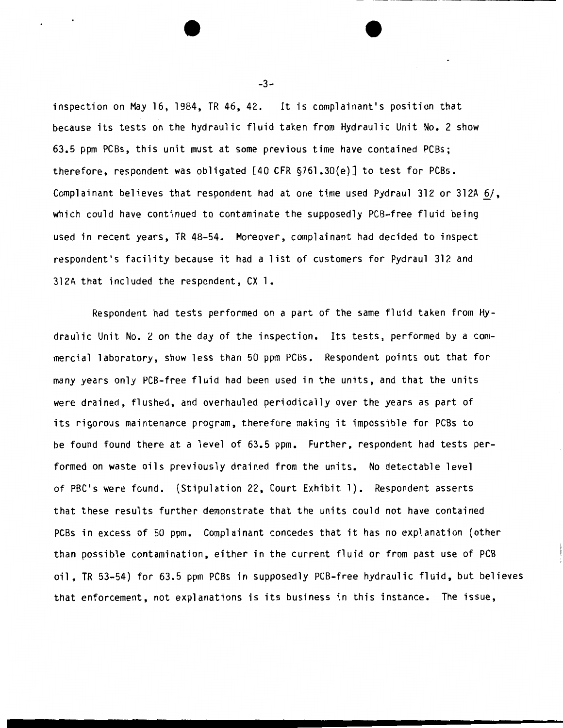inspection on May 16, 1984, TR 46, 42. It is complainant's position that because its tests on the hydraulic fluid taken from Hydraulic Unit No. 2 show 63.5 ppm PCBs, this unit must at some previous time have contained PCBs; therefore, respondent was obligated [40 CFR §761.30(e)] to test for PCBs. Complainant believes that respondent had at one time used Pydraul 312 or 312A  $6/$ , which could have continued to contaminate the supposedly PCB-free fluid being used in recent years, TR 48-54. Moreover, complainant had decided to inspect respondent's facility because it had a list of customers for Pydraul 312 and 312A that included the respondent, CX 1.

Respondent had tests performed on a part of the same fluid taken from Hydraulic Unit No.2 on the day of the inspection. Its tests, performed by a commercial laboratory, show less than 50 ppm PCBs. Respondent points out that for many years only PCB-free fluid had been used in the units, and that the units were drained, flushed, and overhauled periodically over the years as part of its rigorous maintenance program, therefore making it impossible for PCBs to be found found there at a level of 63.5 ppm. Further, respondent had tests performed on waste oils previously drained from the units. No detectable level of PBC's were found. (Stipulation 22, Court Exhibit 1). Respondent asserts that these results further demonstrate that the units could not have contained PCBs in excess of 50 ppm. Complainant concedes that it has no explanation (other than possible contamination, either in the current fluid or from past use of PCB oil, TR 53-54} for 63.5 ppm PCBs in supposedly PCB-free hydraulic fluid, but believes that enforcement, not explanations is its business in this instance. The issue,

 $-3-$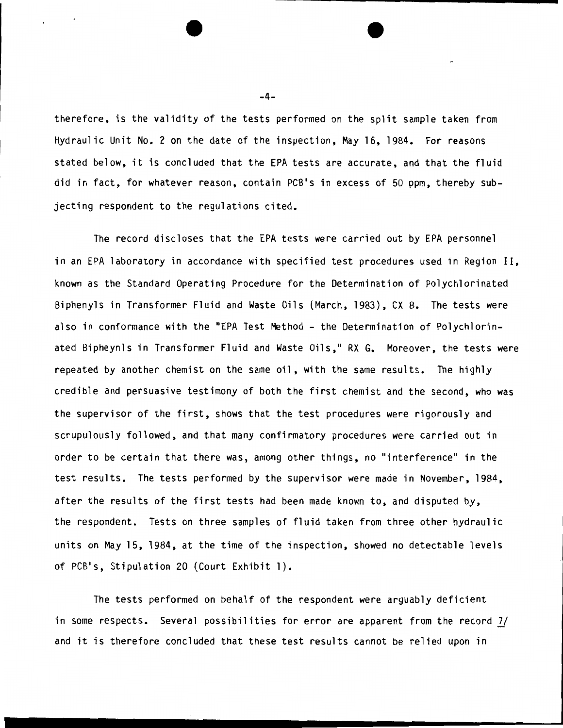therefore, is the validity of the tests performed on the split sample taken from Hydraulic Unit No. 2 on the date of the inspection, May 16, 1984. For reasons stated below, it is concluded that the EPA tests are accurate, and that the fluid did in fact, for whatever reason, contain PCB•s in excess of 50 ppm, thereby subjecting respondent to the regulations cited.

The record discloses that the EPA tests were carried out by EPA personnel in an EPA laboratory in accordance with specified test procedures used in Region II, known as the Standard Operating Procedure for the Determination of Polychlorinated Biphenyls in Transformer Fluid and Waste Oils (March, 1983), CX 8. The tests were also in conformance with the "EPA Test Method - the Determination of Polychlorinated Bipheynls in Transformer Fluid and Waste Oils," RX G. Moreover, the tests were repeated by another chemist on the same oil, with the same results. The highly credible and persuasive testimony of both the first chemist and the second, who was the supervisor of the first, shows that the test procedures were rigorously and scrupulously followed, and that many confirmatory procedures were carried out in order to be certain that there was, among other things, no "interference" in the test results. The tests performed by the supervisor were made in November, 1984, after the results of the first tests had been made known to, and disputed by, the respondent. Tests on three samples of fluid taken from three other hydraulic units on May 15, 1984, at the time of the inspection, showed no detectable levels of PCB's, Stipulation 20 (Court Exhibit 1).

The tests performed on behalf of the respondent were arguably deficient in some respects. Several possibilities for error are apparent from the record *2J*  and it is therefore concluded that these test results cannot be relied upon in

-4-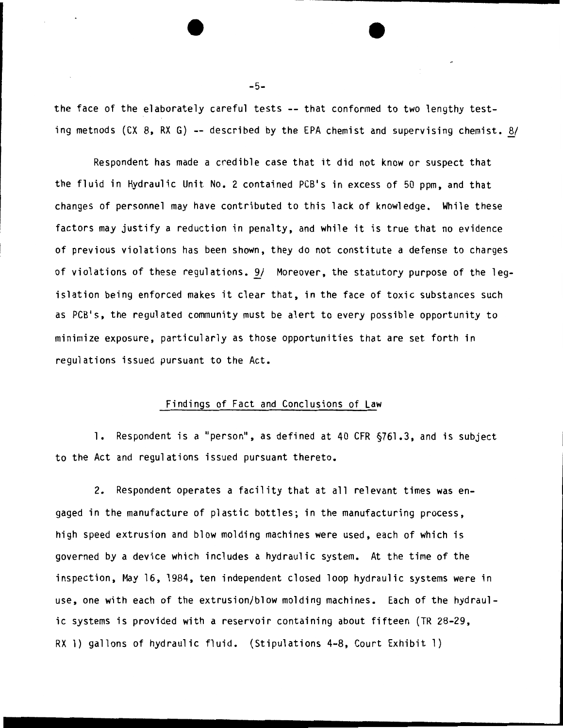the face of the elaborately careful tests -- that conformed to two lengthy testing metnods (CX 8, RX G) -- described by the EPA chemist and supervising chemist. 8/

Respondent has made a credible case that it did not know or suspect that the fluid in Hydraulic Unit No. 2 contained PCB's in excess of 50 ppm, and that changes of personnel may have contributed to this lack of knowledge. While these factors may justify a reduction in penalty, and while it is true that no evidence of previous violations has been shown, they do not constitute a defense to charges of violations of these regulations. 9/ Moreover, the statutory purpose of the legislation being enforced makes it clear that, in the face of toxic substances such as PCB•s, the regulated community must be alert to every possible opportunity to minimize exposure, particularly as those opportunities that are set forth in regulations issued pursuant to the Act.

## Findings of Fact and Conclusions of Law

1. Respondent is a "person", as defined at 40 CFR §761.3, and is subject to the Act and regulations issued pursuant thereto.

2. Respondent operates a facility that at all relevant times was engaged in the manufacture of plastic bottles; in the manufacturing process, high speed extrusion and blow molding machines were used, each of which is governed by a device which includes a hydraulic system. At the time of the inspection, May 16, 1984, ten independent closed loop hydraulic systems were in use, one with each of the extrusion/blow molding machines. Each of the hydraulic systems is provided with a reservoir containing about fifteen (TR 28-29, RX 1) gallons of hydraulic fluid. (Stipulations 4-8, Court Exhibit 1)

-5-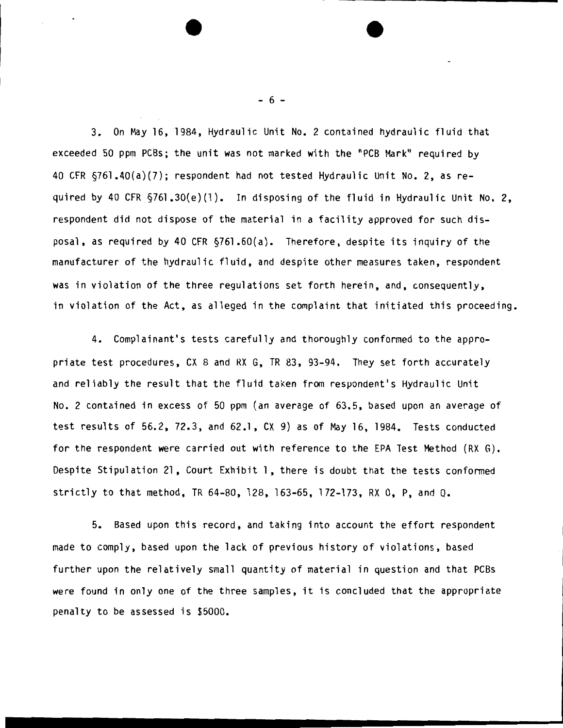3. On May 16, 1984, Hydraulic Unit No. 2 contained hydraulic fluid that exceeded 50 ppm PCBs; the unit was not marked with the "PCB Mark" required by 40 CFR §761.40(a)(7); respondent had not tested Hydraulic Unit No.2, as required by 40 CFR §761.30(e)(l). In disposing of the fluid in Hydraulic Unit No. 2, respondent did not dispose of the material in a facility approved for such disposal, as required by 40 CFR §761.60(a). Therefore, despite its inquiry of the manufacturer of the hydraulic fluid, and despite other measures taken, respondent was in violation of the three regulations set forth herein, and, consequently, in violation of the Act, as alleged in the complaint that initiated this proceeding.

4. Complainant's tests carefully and thoroughly conformed to the appropriate test procedures, CX 8 and RX G, TR 83, 93-94. They set forth accurately and reliably the result that the fluid taken from respondent's Hydraulic Unit No. 2 contained in excess of 50 ppm (an average of 63.5, based upon an average of test results of 56.2, 72.3, and 62.1, CX 9) as of May 16, 1984. Tests conducted for the respondent were carried out with reference to the EPA Test Method (RX G). Despite Stipulation 21, Court Exhibit 1, there is doubt that the tests conformed strictly to that method, TR 64-80, 128, 163-65, 172-173, RX 0, P, and Q.

5. Based upon this record, and taking into account the effort respondent made to comply, based upon the lack of previous history of violations, based further upon the relatively small quantity of material in question and that PCBs were found in only one of the three samples, it is concluded that the appropriate penalty to be assessed is \$5000.

 $- 6 -$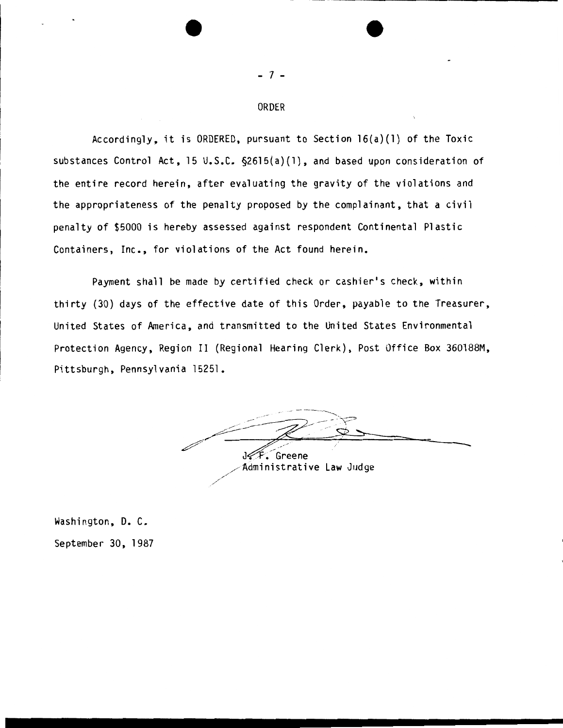### ORDER

- 7 -

Accordingly, it is ORDERED, pursuant to Section 16(a}(l) of the Toxic substances Control Act, 15 U.S.C. §2615(a}(l), and based upon consideration of the entire record herein, after evaluating the gravity of the violations and the appropriateness of the penalty proposed by the complainant, that a civil penalty of \$5000 is hereby assessed against respondent Continental Plastic Containers, Inc., for violations of the Act found herein.

Payment shall be made by certified check or cashier's check, within thirty (30} days of the effective date of this Order, payable to the Treasurer, United States of America, and transmitted to the United States Environmental Protection Agency, Region II (Regional Hearing Clerk), Post Office Box 360188M, Pittsburgh, Pennsylvania 15251.

بالمحيمان Greene Administrative Law Judge

Washington, D. C. September 30, 1987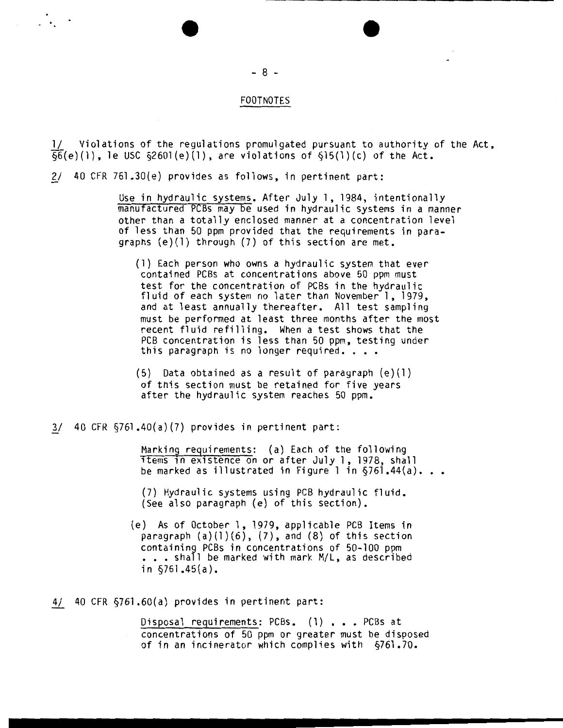#### FOOTNOTES

1/ Violations of the regulations promulgated pursuant to authority of the Act,  $\overline{\delta6}(e)(1)$ , le USC  $\delta2601(e)(1)$ , are violations of  $\delta15(1)(c)$  of the Act.

2/ 40 CFR 761.30(e) provides as follows, in pertinent part:

Use in hydraulic systems. After July 1, 1984, intentionally manufactured PCBs may be used in hydraulic systems in a manner other than a totally enclosed manner at a concentration level of less than 50 ppm provided that the requirements in paragraphs (e){l) through (7) of this section are met.

(1) Each person who owns a hydraulic system that ever contained PCBs at concentrations above 50 ppm must fluid of each system no later than November 1, 1979, and at least annually thereafter. All test sampling must be performed at least three months after the most recent fluid refilling. When a test shows that the PCB concentration is less than 50 ppm, testing under this paragraph is no longer required. . . .

 $(5)$  Data obtained as a result of paragraph  $(e)(1)$ of this section must be retained for five years after the hydraulic system reaches 50 ppm.

 $3/$  40 CFR  $$761.40(a)(7)$  provides in pertinent part:

Marking requirements: (a) Each of the following 1tems 1n ex1stence on or after July 1, 1978, shall be marked as illustrated in Figure 1 in  $\S$ 761.44(a)...

(7) Hydraulic systems using PCB hydraulic fluid. (See also paragraph (e) of this section).

(e) As of October 1, 1979, applicable PCB Items in paragraph  $(a)(1)(6)$ ,  $(7)$ , and  $(8)$  of this section containing PCBs in concentrations of 50-100 ppm  $\bullet$  .  $\bullet$  shall be marked with mark M/L, as described in  $$761.45(a)$ .

4/ 40 CFR §761.60(a) provides in pertinent part:

Disposal requirements: PCBs. (1) . . . PCBs at concentrations of 50 ppm or greater must be disposed of in an incinerator which complies with §761.70.